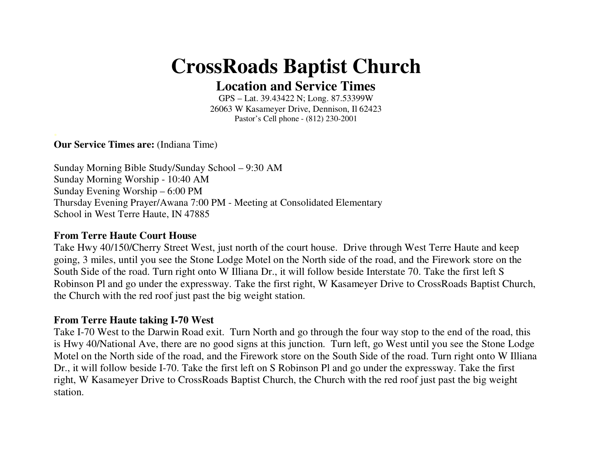## **CrossRoads Baptist Church**

**Location and Service Times** 

GPS – Lat. 39.43422 N; Long. 87.53399W 26063 W Kasameyer Drive, Dennison, Il 62423 Pastor's Cell phone - (812) 230-2001

**Our Service Times are:** (Indiana Time)

Sunday Morning Bible Study/Sunday School – 9:30 AM Sunday Morning Worship - 10:40 AM Sunday Evening Worship – 6:00 PM Thursday Evening Prayer/Awana 7:00 PM - Meeting at Consolidated Elementary School in West Terre Haute, IN 47885

## **From Terre Haute Court House**

Take Hwy 40/150/Cherry Street West, just north of the court house. Drive through West Terre Haute and keep going, 3 miles, until you see the Stone Lodge Motel on the North side of the road, and the Firework store on the South Side of the road. Turn right onto W Illiana Dr., it will follow beside Interstate 70. Take the first left S Robinson Pl and go under the expressway. Take the first right, W Kasameyer Drive to CrossRoads Baptist Church, the Church with the red roof just past the big weight station.

## **From Terre Haute taking I-70 West**

Take I-70 West to the Darwin Road exit. Turn North and go through the four way stop to the end of the road, this is Hwy 40/National Ave, there are no good signs at this junction. Turn left, go West until you see the Stone Lodge Motel on the North side of the road, and the Firework store on the South Side of the road. Turn right onto W Illiana Dr., it will follow beside I-70. Take the first left on S Robinson Pl and go under the expressway. Take the first right, W Kasameyer Drive to CrossRoads Baptist Church, the Church with the red roof just past the big weight station.